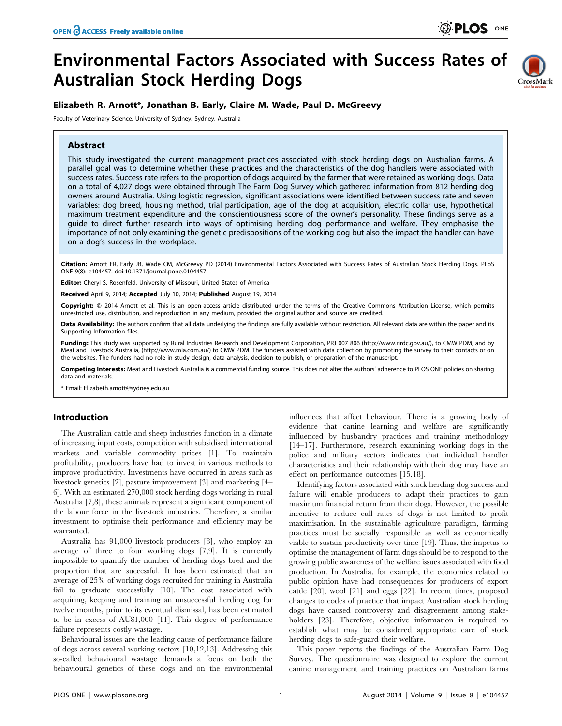# Environmental Factors Associated with Success Rates of Australian Stock Herding Dogs



# Elizabeth R. Arnott\*, Jonathan B. Early, Claire M. Wade, Paul D. McGreevy

Faculty of Veterinary Science, University of Sydney, Sydney, Australia

# Abstract

This study investigated the current management practices associated with stock herding dogs on Australian farms. A parallel goal was to determine whether these practices and the characteristics of the dog handlers were associated with success rates. Success rate refers to the proportion of dogs acquired by the farmer that were retained as working dogs. Data on a total of 4,027 dogs were obtained through The Farm Dog Survey which gathered information from 812 herding dog owners around Australia. Using logistic regression, significant associations were identified between success rate and seven variables: dog breed, housing method, trial participation, age of the dog at acquisition, electric collar use, hypothetical maximum treatment expenditure and the conscientiousness score of the owner's personality. These findings serve as a guide to direct further research into ways of optimising herding dog performance and welfare. They emphasise the importance of not only examining the genetic predispositions of the working dog but also the impact the handler can have on a dog's success in the workplace.

Citation: Arnott ER, Early JB, Wade CM, McGreevy PD (2014) Environmental Factors Associated with Success Rates of Australian Stock Herding Dogs. PLoS ONE 9(8): e104457. doi:10.1371/journal.pone.0104457

Editor: Cheryl S. Rosenfeld, University of Missouri, United States of America

Received April 9, 2014; Accepted July 10, 2014; Published August 19, 2014

**Copyright:** © 2014 Arnott et al. This is an open-access article distributed under the terms of the [Creative Commons Attribution License](http://creativecommons.org/licenses/by/4.0/), which permits unrestricted use, distribution, and reproduction in any medium, provided the original author and source are credited.

Data Availability: The authors confirm that all data underlying the findings are fully available without restriction. All relevant data are within the paper and its Supporting Information files.

Funding: This study was supported by Rural Industries Research and Development Corporation, PRJ 007 806 [\(http://www.rirdc.gov.au/\)](http://www.rirdc.gov.au/), to CMW PDM, and by Meat and Livestock Australia, [\(http://www.mla.com.au/](http://www.mla.com.au/)) to CMW PDM. The funders assisted with data collection by promoting the survey to their contacts or on the websites. The funders had no role in study design, data analysis, decision to publish, or preparation of the manuscript.

Competing Interests: Meat and Livestock Australia is a commercial funding source. This does not alter the authors' adherence to PLOS ONE policies on sharing data and materials.

\* Email: Elizabeth.arnott@sydney.edu.au

# Introduction

The Australian cattle and sheep industries function in a climate of increasing input costs, competition with subsidised international markets and variable commodity prices [1]. To maintain profitability, producers have had to invest in various methods to improve productivity. Investments have occurred in areas such as livestock genetics [2], pasture improvement [3] and marketing [4– 6]. With an estimated 270,000 stock herding dogs working in rural Australia [7,8], these animals represent a significant component of the labour force in the livestock industries. Therefore, a similar investment to optimise their performance and efficiency may be warranted.

Australia has 91,000 livestock producers [8], who employ an average of three to four working dogs [7,9]. It is currently impossible to quantify the number of herding dogs bred and the proportion that are successful. It has been estimated that an average of 25% of working dogs recruited for training in Australia fail to graduate successfully [10]. The cost associated with acquiring, keeping and training an unsuccessful herding dog for twelve months, prior to its eventual dismissal, has been estimated to be in excess of AU\$1,000 [11]. This degree of performance failure represents costly wastage.

Behavioural issues are the leading cause of performance failure of dogs across several working sectors [10,12,13]. Addressing this so-called behavioural wastage demands a focus on both the behavioural genetics of these dogs and on the environmental influences that affect behaviour. There is a growing body of evidence that canine learning and welfare are significantly influenced by husbandry practices and training methodology [14–17]. Furthermore, research examining working dogs in the police and military sectors indicates that individual handler characteristics and their relationship with their dog may have an effect on performance outcomes [15,18].

Identifying factors associated with stock herding dog success and failure will enable producers to adapt their practices to gain maximum financial return from their dogs. However, the possible incentive to reduce cull rates of dogs is not limited to profit maximisation. In the sustainable agriculture paradigm, farming practices must be socially responsible as well as economically viable to sustain productivity over time [19]. Thus, the impetus to optimise the management of farm dogs should be to respond to the growing public awareness of the welfare issues associated with food production. In Australia, for example, the economics related to public opinion have had consequences for producers of export cattle [20], wool [21] and eggs [22]. In recent times, proposed changes to codes of practice that impact Australian stock herding dogs have caused controversy and disagreement among stakeholders [23]. Therefore, objective information is required to establish what may be considered appropriate care of stock herding dogs to safe-guard their welfare.

This paper reports the findings of the Australian Farm Dog Survey. The questionnaire was designed to explore the current canine management and training practices on Australian farms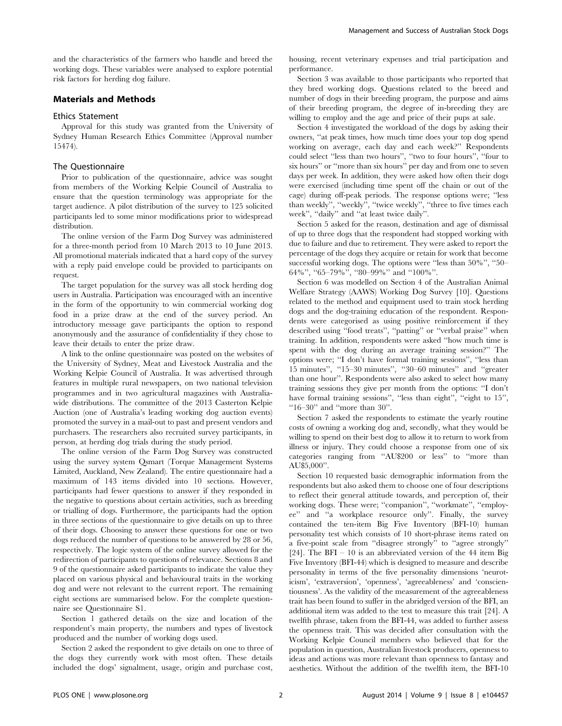and the characteristics of the farmers who handle and breed the working dogs. These variables were analysed to explore potential risk factors for herding dog failure.

# Materials and Methods

#### Ethics Statement

Approval for this study was granted from the University of Sydney Human Research Ethics Committee (Approval number 15474).

#### The Questionnaire

Prior to publication of the questionnaire, advice was sought from members of the Working Kelpie Council of Australia to ensure that the question terminology was appropriate for the target audience. A pilot distribution of the survey to 125 solicited participants led to some minor modifications prior to widespread distribution.

The online version of the Farm Dog Survey was administered for a three-month period from 10 March 2013 to 10 June 2013. All promotional materials indicated that a hard copy of the survey with a reply paid envelope could be provided to participants on request.

The target population for the survey was all stock herding dog users in Australia. Participation was encouraged with an incentive in the form of the opportunity to win commercial working dog food in a prize draw at the end of the survey period. An introductory message gave participants the option to respond anonymously and the assurance of confidentiality if they chose to leave their details to enter the prize draw.

A link to the online questionnaire was posted on the websites of the University of Sydney, Meat and Livestock Australia and the Working Kelpie Council of Australia. It was advertised through features in multiple rural newspapers, on two national television programmes and in two agricultural magazines with Australiawide distributions. The committee of the 2013 Casterton Kelpie Auction (one of Australia's leading working dog auction events) promoted the survey in a mail-out to past and present vendors and purchasers. The researchers also recruited survey participants, in person, at herding dog trials during the study period.

The online version of the Farm Dog Survey was constructed using the survey system Qsmart (Torque Management Systems Limited, Auckland, New Zealand). The entire questionnaire had a maximum of 143 items divided into 10 sections. However, participants had fewer questions to answer if they responded in the negative to questions about certain activities, such as breeding or trialling of dogs. Furthermore, the participants had the option in three sections of the questionnaire to give details on up to three of their dogs. Choosing to answer these questions for one or two dogs reduced the number of questions to be answered by 28 or 56, respectively. The logic system of the online survey allowed for the redirection of participants to questions of relevance. Sections 8 and 9 of the questionnaire asked participants to indicate the value they placed on various physical and behavioural traits in the working dog and were not relevant to the current report. The remaining eight sections are summarised below. For the complete questionnaire see Questionnaire S1.

Section 1 gathered details on the size and location of the respondent's main property, the numbers and types of livestock produced and the number of working dogs used.

Section 2 asked the respondent to give details on one to three of the dogs they currently work with most often. These details included the dogs' signalment, usage, origin and purchase cost, housing, recent veterinary expenses and trial participation and performance.

Section 3 was available to those participants who reported that they bred working dogs. Questions related to the breed and number of dogs in their breeding program, the purpose and aims of their breeding program, the degree of in-breeding they are willing to employ and the age and price of their pups at sale.

Section 4 investigated the workload of the dogs by asking their owners, ''at peak times, how much time does your top dog spend working on average, each day and each week?'' Respondents could select ''less than two hours'', ''two to four hours'', ''four to six hours'' or ''more than six hours'' per day and from one to seven days per week. In addition, they were asked how often their dogs were exercised (including time spent off the chain or out of the cage) during off-peak periods. The response options were; ''less than weekly", "weekly", "twice weekly", "three to five times each week", "daily" and "at least twice daily".

Section 5 asked for the reason, destination and age of dismissal of up to three dogs that the respondent had stopped working with due to failure and due to retirement. They were asked to report the percentage of the dogs they acquire or retain for work that become successful working dogs. The options were "less than 50%", "50-64%'', ''65–79%'', ''80–99%'' and ''100%''.

Section 6 was modelled on Section 4 of the Australian Animal Welfare Strategy (AAWS) Working Dog Survey [10]. Questions related to the method and equipment used to train stock herding dogs and the dog-training education of the respondent. Respondents were categorised as using positive reinforcement if they described using ''food treats'', ''patting'' or ''verbal praise'' when training. In addition, respondents were asked ''how much time is spent with the dog during an average training session?'' The options were; ''I don't have formal training sessions'', ''less than 15 minutes'', ''15–30 minutes'', ''30–60 minutes'' and ''greater than one hour''. Respondents were also asked to select how many training sessions they give per month from the options: ''I don't have formal training sessions", "less than eight", "eight to 15", ''16–30'' and ''more than 30''.

Section 7 asked the respondents to estimate the yearly routine costs of owning a working dog and, secondly, what they would be willing to spend on their best dog to allow it to return to work from illness or injury. They could choose a response from one of six categories ranging from ''AU\$200 or less'' to ''more than AU\$5,000''.

Section 10 requested basic demographic information from the respondents but also asked them to choose one of four descriptions to reflect their general attitude towards, and perception of, their working dogs. These were; "companion", "workmate", "employee'' and ''a workplace resource only''. Finally, the survey contained the ten-item Big Five Inventory (BFI-10) human personality test which consists of 10 short-phrase items rated on a five-point scale from ''disagree strongly'' to ''agree strongly'' [24]. The BFI – 10 is an abbreviated version of the 44 item Big Five Inventory (BFI-44) which is designed to measure and describe personality in terms of the five personality dimensions 'neuroticism', 'extraversion', 'openness', 'agreeableness' and 'conscientiousness'. As the validity of the measurement of the agreeableness trait has been found to suffer in the abridged version of the BFI, an additional item was added to the test to measure this trait [24]. A twelfth phrase, taken from the BFI-44, was added to further assess the openness trait. This was decided after consultation with the Working Kelpie Council members who believed that for the population in question, Australian livestock producers, openness to ideas and actions was more relevant than openness to fantasy and aesthetics. Without the addition of the twelfth item, the BFI-10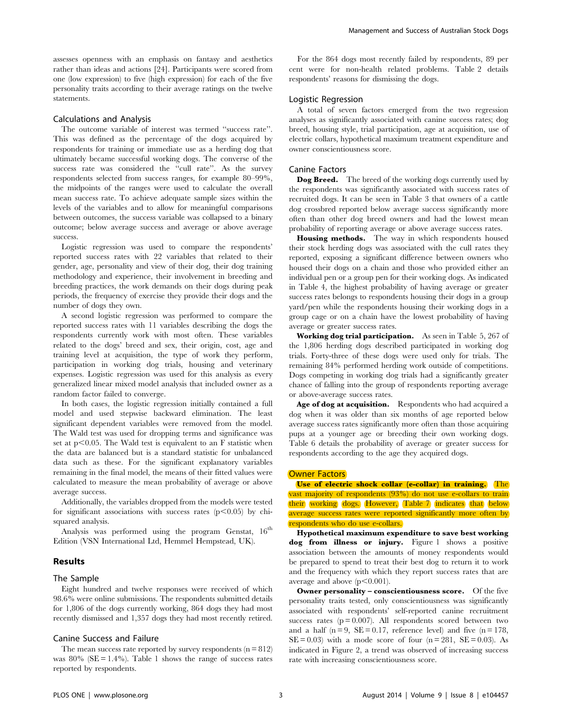assesses openness with an emphasis on fantasy and aesthetics rather than ideas and actions [24]. Participants were scored from one (low expression) to five (high expression) for each of the five personality traits according to their average ratings on the twelve statements.

## Calculations and Analysis

The outcome variable of interest was termed ''success rate''. This was defined as the percentage of the dogs acquired by respondents for training or immediate use as a herding dog that ultimately became successful working dogs. The converse of the success rate was considered the "cull rate". As the survey respondents selected from success ranges, for example 80–99%, the midpoints of the ranges were used to calculate the overall mean success rate. To achieve adequate sample sizes within the levels of the variables and to allow for meaningful comparisons between outcomes, the success variable was collapsed to a binary outcome; below average success and average or above average success.

Logistic regression was used to compare the respondents' reported success rates with 22 variables that related to their gender, age, personality and view of their dog, their dog training methodology and experience, their involvement in breeding and breeding practices, the work demands on their dogs during peak periods, the frequency of exercise they provide their dogs and the number of dogs they own.

A second logistic regression was performed to compare the reported success rates with 11 variables describing the dogs the respondents currently work with most often. These variables related to the dogs' breed and sex, their origin, cost, age and training level at acquisition, the type of work they perform, participation in working dog trials, housing and veterinary expenses. Logistic regression was used for this analysis as every generalized linear mixed model analysis that included owner as a random factor failed to converge.

In both cases, the logistic regression initially contained a full model and used stepwise backward elimination. The least significant dependent variables were removed from the model. The Wald test was used for dropping terms and significance was set at  $p<0.05$ . The Wald test is equivalent to an F statistic when the data are balanced but is a standard statistic for unbalanced data such as these. For the significant explanatory variables remaining in the final model, the means of their fitted values were calculated to measure the mean probability of average or above average success.

Additionally, the variables dropped from the models were tested for significant associations with success rates  $(p<0.05)$  by chisquared analysis.

Analysis was performed using the program Genstat,  $16^{\text{th}}$ Edition (VSN International Ltd, Hemmel Hempstead, UK).

## Results

#### The Sample

Eight hundred and twelve responses were received of which 98.6% were online submissions. The respondents submitted details for 1,806 of the dogs currently working, 864 dogs they had most recently dismissed and 1,357 dogs they had most recently retired.

#### Canine Success and Failure

The mean success rate reported by survey respondents  $(n = 812)$ was  $80\%$  (SE = 1.4%). Table 1 shows the range of success rates reported by respondents.

For the 864 dogs most recently failed by respondents, 89 per cent were for non-health related problems. Table 2 details respondents' reasons for dismissing the dogs.

# Logistic Regression

A total of seven factors emerged from the two regression analyses as significantly associated with canine success rates; dog breed, housing style, trial participation, age at acquisition, use of electric collars, hypothetical maximum treatment expenditure and owner conscientiousness score.

#### Canine Factors

Dog Breed. The breed of the working dogs currently used by the respondents was significantly associated with success rates of recruited dogs. It can be seen in Table 3 that owners of a cattle dog crossbred reported below average success significantly more often than other dog breed owners and had the lowest mean probability of reporting average or above average success rates.

Housing methods. The way in which respondents housed their stock herding dogs was associated with the cull rates they reported, exposing a significant difference between owners who housed their dogs on a chain and those who provided either an individual pen or a group pen for their working dogs. As indicated in Table 4, the highest probability of having average or greater success rates belongs to respondents housing their dogs in a group yard/pen while the respondents housing their working dogs in a group cage or on a chain have the lowest probability of having average or greater success rates.

Working dog trial participation. As seen in Table 5, 267 of the 1,806 herding dogs described participated in working dog trials. Forty-three of these dogs were used only for trials. The remaining 84% performed herding work outside of competitions. Dogs competing in working dog trials had a significantly greater chance of falling into the group of respondents reporting average or above-average success rates.

Age of dog at acquisition. Respondents who had acquired a dog when it was older than six months of age reported below average success rates significantly more often than those acquiring pups at a younger age or breeding their own working dogs. Table 6 details the probability of average or greater success for respondents according to the age they acquired dogs.

#### **Owner Factors**

Use of electric shock collar (e-collar) in training. The vast majority of respondents (93%) do not use e-collars to train their working dogs. However, Table 7 indicates that below average success rates were reported significantly more often by respondents who do use e-collars.

Hypothetical maximum expenditure to save best working dog from illness or injury. Figure 1 shows a positive association between the amounts of money respondents would be prepared to spend to treat their best dog to return it to work and the frequency with which they report success rates that are average and above  $(p<0.001)$ .

Owner personality – conscientiousness score. Of the five personality traits tested, only conscientiousness was significantly associated with respondents' self-reported canine recruitment success rates  $(p = 0.007)$ . All respondents scored between two and a half  $(n = 9, SE = 0.17, reference level)$  and five  $(n = 178,$  $SE = 0.03$ ) with a mode score of four  $(n = 281, SE = 0.03)$ . As indicated in Figure 2, a trend was observed of increasing success rate with increasing conscientiousness score.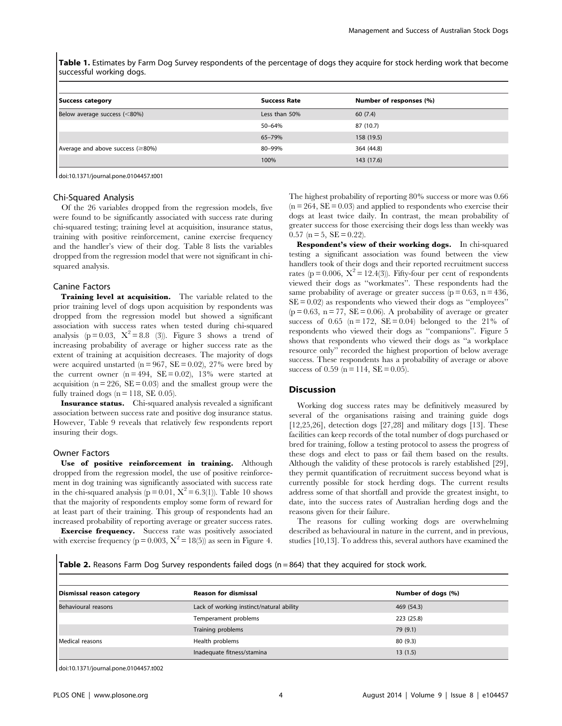Table 1. Estimates by Farm Dog Survey respondents of the percentage of dogs they acquire for stock herding work that become successful working dogs.

| <b>Success category</b>                 | <b>Success Rate</b> | Number of responses (%) |
|-----------------------------------------|---------------------|-------------------------|
| Below average success $(<80\%)$         | Less than 50%       | 60(7.4)                 |
|                                         | 50-64%              | 87 (10.7)               |
|                                         | 65-79%              | 158 (19.5)              |
| Average and above success $(\geq 80\%)$ | 80-99%              | 364 (44.8)              |
|                                         | 100%                | 143 (17.6)              |

doi:10.1371/journal.pone.0104457.t001

#### Chi-Squared Analysis

Of the 26 variables dropped from the regression models, five were found to be significantly associated with success rate during chi-squared testing; training level at acquisition, insurance status, training with positive reinforcement, canine exercise frequency and the handler's view of their dog. Table 8 lists the variables dropped from the regression model that were not significant in chisquared analysis.

#### Canine Factors

Training level at acquisition. The variable related to the prior training level of dogs upon acquisition by respondents was dropped from the regression model but showed a significant association with success rates when tested during chi-squared analysis ( $p = 0.03$ ,  $X^2 = 8.8$  (3)). Figure 3 shows a trend of increasing probability of average or higher success rate as the extent of training at acquisition decreases. The majority of dogs were acquired unstarted ( $n = 967$ ,  $SE = 0.02$ ), 27% were bred by the current owner  $(n = 494, \text{ SE} = 0.02), 13\%$  were started at acquisition  $(n = 226, SE = 0.03)$  and the smallest group were the fully trained dogs ( $n = 118$ , SE 0.05).

Insurance status. Chi-squared analysis revealed a significant association between success rate and positive dog insurance status. However, Table 9 reveals that relatively few respondents report insuring their dogs.

## Owner Factors

Use of positive reinforcement in training. Although dropped from the regression model, the use of positive reinforcement in dog training was significantly associated with success rate in the chi-squared analysis ( $p = 0.01$ ,  $X^2 = 6.3(1)$ ). Table 10 shows that the majority of respondents employ some form of reward for at least part of their training. This group of respondents had an increased probability of reporting average or greater success rates.

Exercise frequency. Success rate was positively associated with exercise frequency ( $p = 0.003$ ,  $X^2 = 18(5)$ ) as seen in Figure 4.

The highest probability of reporting 80% success or more was 0.66  $(n = 264, SE = 0.03)$  and applied to respondents who exercise their dogs at least twice daily. In contrast, the mean probability of greater success for those exercising their dogs less than weekly was  $0.57$  (n = 5, SE = 0.22).

Respondent's view of their working dogs. In chi-squared testing a significant association was found between the view handlers took of their dogs and their reported recruitment success rates ( $p = 0.006$ ,  $X^2 = 12.4(3)$ ). Fifty-four per cent of respondents viewed their dogs as ''workmates''. These respondents had the same probability of average or greater success ( $p = 0.63$ ,  $n = 436$ ,  $SE = 0.02$ ) as respondents who viewed their dogs as "employees"  $(p = 0.63, n = 77, SE = 0.06)$ . A probability of average or greater success of 0.65 ( $n = 172$ ,  $SE = 0.04$ ) belonged to the 21% of respondents who viewed their dogs as ''companions''. Figure 5 shows that respondents who viewed their dogs as ''a workplace resource only'' recorded the highest proportion of below average success. These respondents has a probability of average or above success of 0.59 ( $n = 114$ ,  $SE = 0.05$ ).

# Discussion

Working dog success rates may be definitively measured by several of the organisations raising and training guide dogs [12,25,26], detection dogs [27,28] and military dogs [13]. These facilities can keep records of the total number of dogs purchased or bred for training, follow a testing protocol to assess the progress of these dogs and elect to pass or fail them based on the results. Although the validity of these protocols is rarely established [29], they permit quantification of recruitment success beyond what is currently possible for stock herding dogs. The current results address some of that shortfall and provide the greatest insight, to date, into the success rates of Australian herding dogs and the reasons given for their failure.

The reasons for culling working dogs are overwhelming described as behavioural in nature in the current, and in previous, studies [10,13]. To address this, several authors have examined the

Table 2. Reasons Farm Dog Survey respondents failed dogs (n = 864) that they acquired for stock work.

| Dismissal reason category | <b>Reason for dismissal</b>              | Number of dogs (%) |
|---------------------------|------------------------------------------|--------------------|
| Behavioural reasons       | Lack of working instinct/natural ability | 469 (54.3)         |
|                           | Temperament problems                     | 223 (25.8)         |
|                           | Training problems                        | 79(9.1)            |
| Medical reasons           | Health problems                          | 80(9.3)            |
|                           | Inadequate fitness/stamina               | 13(1.5)            |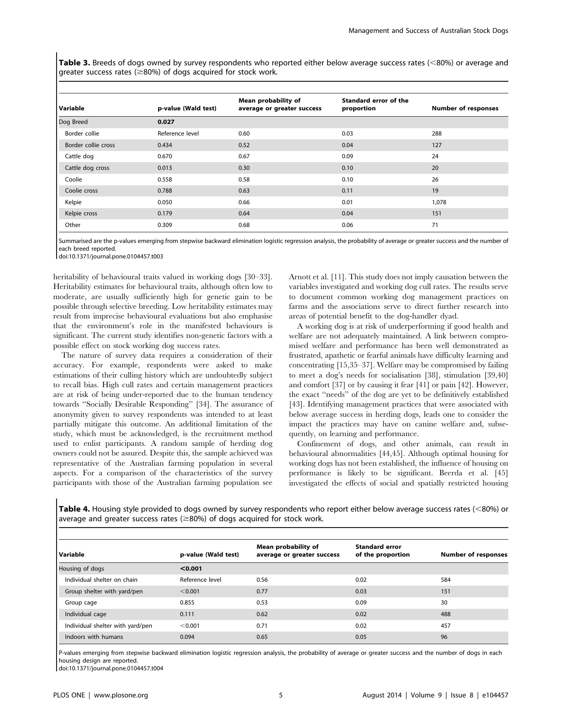Table 3. Breeds of dogs owned by survey respondents who reported either below average success rates (<80%) or average and greater success rates  $(\geq 80\%)$  of dogs acquired for stock work.

| Variable            | p-value (Wald test) | Mean probability of<br>average or greater success | Standard error of the<br>proportion | <b>Number of responses</b> |
|---------------------|---------------------|---------------------------------------------------|-------------------------------------|----------------------------|
| Dog Breed           | 0.027               |                                                   |                                     |                            |
| Border collie       | Reference level     | 0.60                                              | 0.03                                | 288                        |
| Border collie cross | 0.434               | 0.52                                              | 0.04                                | 127                        |
| Cattle dog          | 0.670               | 0.67                                              | 0.09                                | 24                         |
| Cattle dog cross    | 0.013               | 0.30                                              | 0.10                                | 20                         |
| Coolie              | 0.558               | 0.58                                              | 0.10                                | 26                         |
| Coolie cross        | 0.788               | 0.63                                              | 0.11                                | 19                         |
| Kelpie              | 0.050               | 0.66                                              | 0.01                                | 1,078                      |
| Kelpie cross        | 0.179               | 0.64                                              | 0.04                                | 151                        |
| Other               | 0.309               | 0.68                                              | 0.06                                | 71                         |

Summarised are the p-values emerging from stepwise backward elimination logistic regression analysis, the probability of average or greater success and the number of each breed reported.

doi:10.1371/journal.pone.0104457.t003

heritability of behavioural traits valued in working dogs [30–33]. Heritability estimates for behavioural traits, although often low to moderate, are usually sufficiently high for genetic gain to be possible through selective breeding. Low heritability estimates may result from imprecise behavioural evaluations but also emphasise that the environment's role in the manifested behaviours is significant. The current study identifies non-genetic factors with a possible effect on stock working dog success rates.

The nature of survey data requires a consideration of their accuracy. For example, respondents were asked to make estimations of their culling history which are undoubtedly subject to recall bias. High cull rates and certain management practices are at risk of being under-reported due to the human tendency towards ''Socially Desirable Responding'' [34]. The assurance of anonymity given to survey respondents was intended to at least partially mitigate this outcome. An additional limitation of the study, which must be acknowledged, is the recruitment method used to enlist participants. A random sample of herding dog owners could not be assured. Despite this, the sample achieved was representative of the Australian farming population in several aspects. For a comparison of the characteristics of the survey participants with those of the Australian farming population see

Arnott et al. [11]. This study does not imply causation between the variables investigated and working dog cull rates. The results serve to document common working dog management practices on farms and the associations serve to direct further research into areas of potential benefit to the dog-handler dyad.

A working dog is at risk of underperforming if good health and welfare are not adequately maintained. A link between compromised welfare and performance has been well demonstrated as frustrated, apathetic or fearful animals have difficulty learning and concentrating [15,35–37]. Welfare may be compromised by failing to meet a dog's needs for socialisation [38], stimulation [39,40] and comfort [37] or by causing it fear [41] or pain [42]. However, the exact ''needs'' of the dog are yet to be definitively established [43]. Identifying management practices that were associated with below average success in herding dogs, leads one to consider the impact the practices may have on canine welfare and, subsequently, on learning and performance.

Confinement of dogs, and other animals, can result in behavioural abnormalities [44,45]. Although optimal housing for working dogs has not been established, the influence of housing on performance is likely to be significant. Beerda et al. [45] investigated the effects of social and spatially restricted housing

Table 4. Housing style provided to dogs owned by survey respondents who report either below average success rates  $(<80%)$  or average and greater success rates ( $\geq$ 80%) of dogs acquired for stock work.

| Variable                         | p-value (Wald test) | Mean probability of<br>average or greater success | <b>Standard error</b><br>of the proportion | <b>Number of responses</b> |
|----------------------------------|---------------------|---------------------------------------------------|--------------------------------------------|----------------------------|
| Housing of dogs                  | < 0.001             |                                                   |                                            |                            |
| Individual shelter on chain      | Reference level     | 0.56                                              | 0.02                                       | 584                        |
| Group shelter with yard/pen      | < 0.001             | 0.77                                              | 0.03                                       | 151                        |
| Group cage                       | 0.855               | 0.53                                              | 0.09                                       | 30                         |
| Individual cage                  | 0.111               | 0.62                                              | 0.02                                       | 488                        |
| Individual shelter with yard/pen | < 0.001             | 0.71                                              | 0.02                                       | 457                        |
| Indoors with humans              | 0.094               | 0.65                                              | 0.05                                       | 96                         |

P-values emerging from stepwise backward elimination logistic regression analysis, the probability of average or greater success and the number of dogs in each housing design are reported.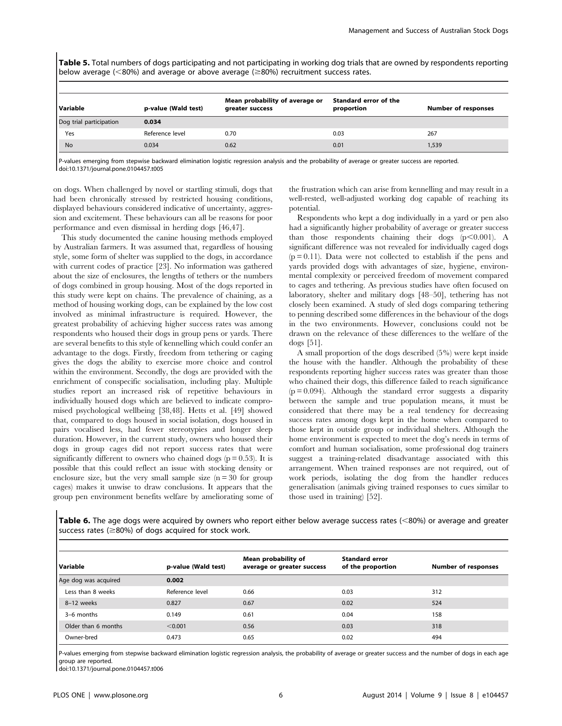Table 5. Total numbers of dogs participating and not participating in working dog trials that are owned by respondents reporting below average ( $<80\%$ ) and average or above average ( $\geq80\%$ ) recruitment success rates.

| Variable                | p-value (Wald test) | Mean probability of average or<br>greater success | Standard error of the<br>proportion | <b>Number of responses</b> |
|-------------------------|---------------------|---------------------------------------------------|-------------------------------------|----------------------------|
| Dog trial participation | 0.034               |                                                   |                                     |                            |
| Yes                     | Reference level     | 0.70                                              | 0.03                                | 267                        |
| <b>No</b>               | 0.034               | 0.62                                              | 0.01                                | 1,539                      |

P-values emerging from stepwise backward elimination logistic regression analysis and the probability of average or greater success are reported. doi:10.1371/journal.pone.0104457.t005

on dogs. When challenged by novel or startling stimuli, dogs that had been chronically stressed by restricted housing conditions, displayed behaviours considered indicative of uncertainty, aggression and excitement. These behaviours can all be reasons for poor performance and even dismissal in herding dogs [46,47].

This study documented the canine housing methods employed by Australian farmers. It was assumed that, regardless of housing style, some form of shelter was supplied to the dogs, in accordance with current codes of practice [23]. No information was gathered about the size of enclosures, the lengths of tethers or the numbers of dogs combined in group housing. Most of the dogs reported in this study were kept on chains. The prevalence of chaining, as a method of housing working dogs, can be explained by the low cost involved as minimal infrastructure is required. However, the greatest probability of achieving higher success rates was among respondents who housed their dogs in group pens or yards. There are several benefits to this style of kennelling which could confer an advantage to the dogs. Firstly, freedom from tethering or caging gives the dogs the ability to exercise more choice and control within the environment. Secondly, the dogs are provided with the enrichment of conspecific socialisation, including play. Multiple studies report an increased risk of repetitive behaviours in individually housed dogs which are believed to indicate compromised psychological wellbeing [38,48]. Hetts et al. [49] showed that, compared to dogs housed in social isolation, dogs housed in pairs vocalised less, had fewer stereotypies and longer sleep duration. However, in the current study, owners who housed their dogs in group cages did not report success rates that were significantly different to owners who chained dogs ( $p = 0.53$ ). It is possible that this could reflect an issue with stocking density or enclosure size, but the very small sample size  $(n = 30)$  for group cages) makes it unwise to draw conclusions. It appears that the group pen environment benefits welfare by ameliorating some of the frustration which can arise from kennelling and may result in a well-rested, well-adjusted working dog capable of reaching its potential.

Respondents who kept a dog individually in a yard or pen also had a significantly higher probability of average or greater success than those respondents chaining their dogs  $(p<0.001)$ . A significant difference was not revealed for individually caged dogs  $(p = 0.11)$ . Data were not collected to establish if the pens and yards provided dogs with advantages of size, hygiene, environmental complexity or perceived freedom of movement compared to cages and tethering. As previous studies have often focused on laboratory, shelter and military dogs [48–50], tethering has not closely been examined. A study of sled dogs comparing tethering to penning described some differences in the behaviour of the dogs in the two environments. However, conclusions could not be drawn on the relevance of these differences to the welfare of the dogs [51].

A small proportion of the dogs described (5%) were kept inside the house with the handler. Although the probability of these respondents reporting higher success rates was greater than those who chained their dogs, this difference failed to reach significance  $(p = 0.094)$ . Although the standard error suggests a disparity between the sample and true population means, it must be considered that there may be a real tendency for decreasing success rates among dogs kept in the home when compared to those kept in outside group or individual shelters. Although the home environment is expected to meet the dog's needs in terms of comfort and human socialisation, some professional dog trainers suggest a training-related disadvantage associated with this arrangement. When trained responses are not required, out of work periods, isolating the dog from the handler reduces generalisation (animals giving trained responses to cues similar to those used in training) [52].

Table 6. The age dogs were acquired by owners who report either below average success rates (<80%) or average and greater success rates ( $\geq$ 80%) of dogs acquired for stock work.

| Variable             | p-value (Wald test) | Mean probability of<br>average or greater success | <b>Standard error</b><br>of the proportion | <b>Number of responses</b> |
|----------------------|---------------------|---------------------------------------------------|--------------------------------------------|----------------------------|
| Age dog was acquired | 0.002               |                                                   |                                            |                            |
| Less than 8 weeks    | Reference level     | 0.66                                              | 0.03                                       | 312                        |
| 8-12 weeks           | 0.827               | 0.67                                              | 0.02                                       | 524                        |
| 3-6 months           | 0.149               | 0.61                                              | 0.04                                       | 158                        |
| Older than 6 months  | < 0.001             | 0.56                                              | 0.03                                       | 318                        |
| Owner-bred           | 0.473               | 0.65                                              | 0.02                                       | 494                        |

P-values emerging from stepwise backward elimination logistic regression analysis, the probability of average or greater success and the number of dogs in each age group are reported.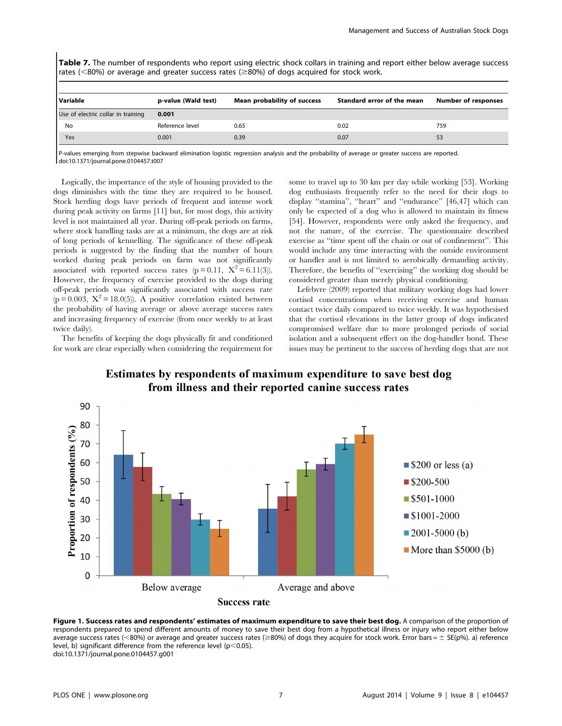Table 7. The number of respondents who report using electric shock collars in training and report either below average success rates ( $\leq$ 80%) or average and greater success rates ( $\geq$ 80%) of dogs acquired for stock work.

| Variable                           | p-value (Wald test) | Mean probability of success | Standard error of the mean | <b>Number of responses</b> |
|------------------------------------|---------------------|-----------------------------|----------------------------|----------------------------|
| Use of electric collar in training | 0.001               |                             |                            |                            |
| No                                 | Reference level     | 0.65                        | 0.02                       | 759                        |
| Yes                                | 0.001               | 0.39                        | 0.07                       | 53                         |

P-values emerging from stepwise backward elimination logistic regression analysis and the probability of average or greater success are reported. doi:10.1371/journal.pone.0104457.t007

Logically, the importance of the style of housing provided to the dogs diminishes with the time they are required to be housed. Stock herding dogs have periods of frequent and intense work during peak activity on farms [11] but, for most dogs, this activity level is not maintained all year. During off-peak periods on farms, where stock handling tasks are at a minimum, the dogs are at risk of long periods of kennelling. The significance of these off-peak periods is suggested by the finding that the number of hours worked during peak periods on farm was not significantly associated with reported success rates ( $p = 0.11$ ,  $X^2 = 6.11(3)$ ). However, the frequency of exercise provided to the dogs during off-peak periods was significantly associated with success rate  $(p = 0.003, X^2 = 18.0(5))$ . A positive correlation existed between the probability of having average or above average success rates and increasing frequency of exercise (from once weekly to at least twice daily).

The benefits of keeping the dogs physically fit and conditioned for work are clear especially when considering the requirement for some to travel up to 30 km per day while working [53]. Working dog enthusiasts frequently refer to the need for their dogs to display ''stamina'', ''heart'' and ''endurance'' [46,47] which can only be expected of a dog who is allowed to maintain its fitness [54]. However, respondents were only asked the frequency, and not the nature, of the exercise. The questionnaire described exercise as ''time spent off the chain or out of confinement''. This would include any time interacting with the outside environment or handler and is not limited to aerobically demanding activity. Therefore, the benefits of ''exercising'' the working dog should be considered greater than merely physical conditioning.

Lefebvre (2009) reported that military working dogs had lower cortisol concentrations when receiving exercise and human contact twice daily compared to twice weekly. It was hypothesised that the cortisol elevations in the latter group of dogs indicated compromised welfare due to more prolonged periods of social isolation and a subsequent effect on the dog-handler bond. These issues may be pertinent to the success of herding dogs that are not



# Estimates by respondents of maximum expenditure to save best dog from illness and their reported canine success rates

Figure 1. Success rates and respondents' estimates of maximum expenditure to save their best dog. A comparison of the proportion of respondents prepared to spend different amounts of money to save their best dog from a hypothetical illness or injury who report either below average success rates (<80%) or average and greater success rates ( $\geq$ 80%) of dogs they acquire for stock work. Error bars =  $\pm$  SE(p%). a) reference level, b) significant difference from the reference level ( $p$ <0.05). doi:10.1371/journal.pone.0104457.g001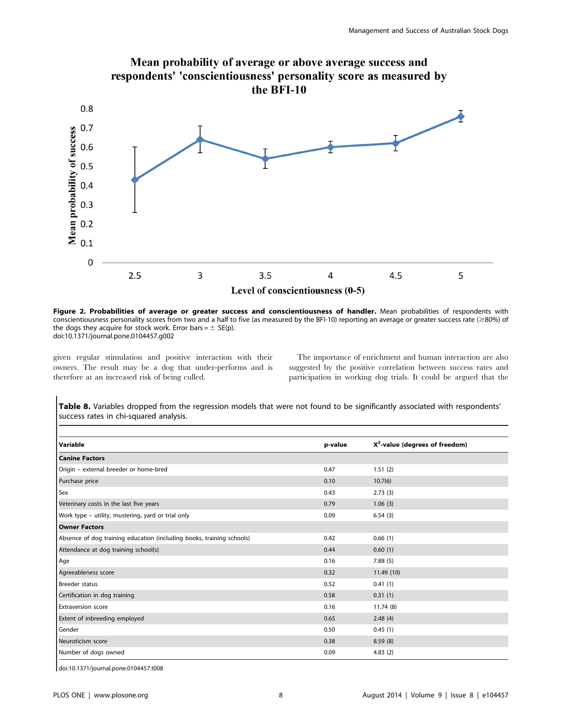

Figure 2. Probabilities of average or greater success and conscientiousness of handler. Mean probabilities of respondents with conscientiousness personality scores from two and a half to five (as measured by the BFI-10) reporting an average or greater success rate ( $\geq$ 80%) of the dogs they acquire for stock work. Error bars =  $\pm$  SE(p). doi:10.1371/journal.pone.0104457.g002

given regular stimulation and positive interaction with their owners. The result may be a dog that under-performs and is therefore at an increased risk of being culled.

The importance of enrichment and human interaction are also suggested by the positive correlation between success rates and participation in working dog trials. It could be argued that the

Table 8. Variables dropped from the regression models that were not found to be significantly associated with respondents' success rates in chi-squared analysis.

| Variable                                                              | p-value | $X^2$ -value (degrees of freedom) |
|-----------------------------------------------------------------------|---------|-----------------------------------|
| <b>Canine Factors</b>                                                 |         |                                   |
| Origin - external breeder or home-bred                                | 0.47    | 1.51(2)                           |
| Purchase price                                                        | 0.10    | 10.7(6)                           |
| Sex                                                                   | 0.43    | 2.73(3)                           |
| Veterinary costs in the last five years                               | 0.79    | 1.06(3)                           |
| Work type - utility, mustering, yard or trial only                    | 0.09    | 6.54(3)                           |
| <b>Owner Factors</b>                                                  |         |                                   |
| Absence of dog training education (including books, training schools) | 0.42    | 0.66(1)                           |
| Attendance at dog training school(s)                                  | 0.44    | 0.60(1)                           |
| Age                                                                   | 0.16    | 7.88(5)                           |
| Agreeableness score                                                   | 0.32    | 11.49 (10)                        |
| Breeder status                                                        | 0.52    | 0.41(1)                           |
| Certification in dog training                                         | 0.58    | 0.31(1)                           |
| <b>Extraversion score</b>                                             | 0.16    | 11.74(8)                          |
| Extent of inbreeding employed                                         | 0.65    | 2.48(4)                           |
| Gender                                                                | 0.50    | 0.45(1)                           |
| Neuroticism score                                                     | 0.38    | 8.59(8)                           |
| Number of dogs owned                                                  | 0.09    | 4.83(2)                           |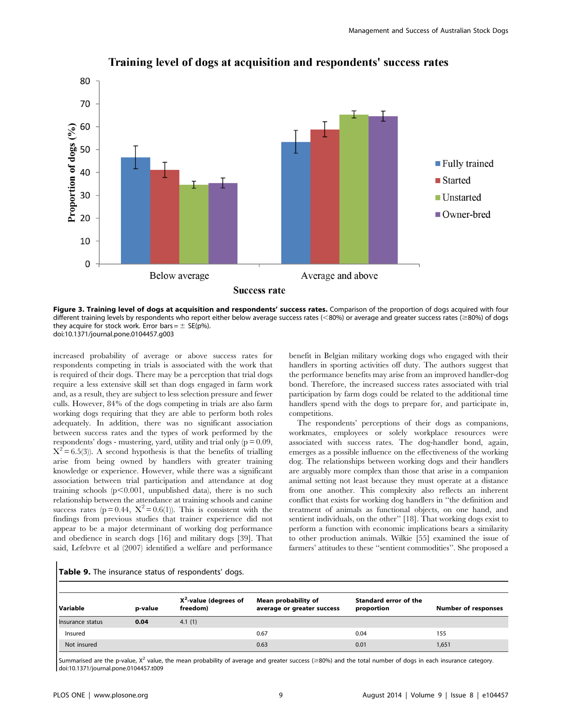

# Training level of dogs at acquisition and respondents' success rates

Figure 3. Training level of dogs at acquisition and respondents' success rates. Comparison of the proportion of dogs acquired with four different training levels by respondents who report either below average success rates (<80%) or average and greater success rates ( $\geq$ 80%) of dogs they acquire for stock work. Error bars =  $\pm$  SE(p%). doi:10.1371/journal.pone.0104457.g003

increased probability of average or above success rates for respondents competing in trials is associated with the work that is required of their dogs. There may be a perception that trial dogs require a less extensive skill set than dogs engaged in farm work and, as a result, they are subject to less selection pressure and fewer culls. However, 84% of the dogs competing in trials are also farm working dogs requiring that they are able to perform both roles adequately. In addition, there was no significant association between success rates and the types of work performed by the respondents' dogs - mustering, yard, utility and trial only ( $p = 0.09$ ,  $X^2 = 6.5(3)$ . A second hypothesis is that the benefits of trialling arise from being owned by handlers with greater training knowledge or experience. However, while there was a significant association between trial participation and attendance at dog training schools  $(p<0.001$ , unpublished data), there is no such relationship between the attendance at training schools and canine success rates ( $p = 0.44$ ,  $X^2 = 0.6(1)$ ). This is consistent with the findings from previous studies that trainer experience did not appear to be a major determinant of working dog performance and obedience in search dogs [16] and military dogs [39]. That said, Lefebvre et al (2007) identified a welfare and performance

benefit in Belgian military working dogs who engaged with their handlers in sporting activities off duty. The authors suggest that the performance benefits may arise from an improved handler-dog bond. Therefore, the increased success rates associated with trial participation by farm dogs could be related to the additional time handlers spend with the dogs to prepare for, and participate in, competitions.

The respondents' perceptions of their dogs as companions, workmates, employees or solely workplace resources were associated with success rates. The dog-handler bond, again, emerges as a possible influence on the effectiveness of the working dog. The relationships between working dogs and their handlers are arguably more complex than those that arise in a companion animal setting not least because they must operate at a distance from one another. This complexity also reflects an inherent conflict that exists for working dog handlers in ''the definition and treatment of animals as functional objects, on one hand, and sentient individuals, on the other'' [18]. That working dogs exist to perform a function with economic implications bears a similarity to other production animals. Wilkie [55] examined the issue of farmers' attitudes to these ''sentient commodities''. She proposed a

|  |  |  |  |  | Table 9. The insurance status of respondents' dogs. |  |
|--|--|--|--|--|-----------------------------------------------------|--|
|--|--|--|--|--|-----------------------------------------------------|--|

| Variable         | p-value | $X^2$ -value (degrees of<br>freedom) | Mean probability of<br>average or greater success | Standard error of the<br>proportion | <b>Number of responses</b> |
|------------------|---------|--------------------------------------|---------------------------------------------------|-------------------------------------|----------------------------|
| Insurance status | 0.04    | 4.1(1)                               |                                                   |                                     |                            |
| Insured          |         |                                      | 0.67                                              | 0.04                                | 155                        |
| Not insured      |         |                                      | 0.63                                              | 0.01                                | 1,651                      |

Summarised are the p-value,  $X^2$  value, the mean probability of average and greater success ( $\geq$ 80%) and the total number of dogs in each insurance category. doi:10.1371/journal.pone.0104457.t009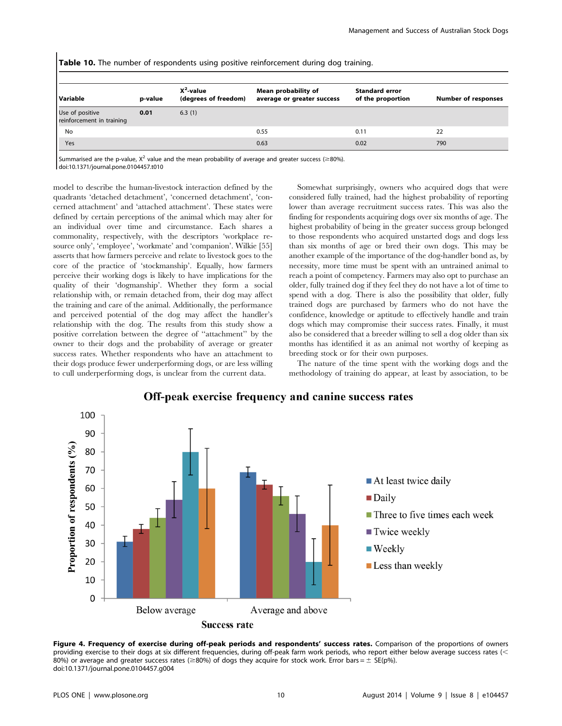| <b>Table 10.</b> The number of respondents using positive reinforcement during dog training. |         |                                      |                                                   |                                     |                            |  |  |
|----------------------------------------------------------------------------------------------|---------|--------------------------------------|---------------------------------------------------|-------------------------------------|----------------------------|--|--|
|                                                                                              |         |                                      |                                                   |                                     |                            |  |  |
| l Variable                                                                                   | p-value | $X^2$ -value<br>(degrees of freedom) | Mean probability of<br>average or greater success | Standard error<br>of the proportion | <b>Number of responses</b> |  |  |
| Use of positive<br>reinforcement in training                                                 | 0.01    | 6.3(1)                               |                                                   |                                     |                            |  |  |
| No                                                                                           |         |                                      | 0.55                                              | 0.11                                | 22                         |  |  |
| Yes                                                                                          |         |                                      | 0.63                                              | 0.02                                | 790                        |  |  |

Table 10. The number of respondents using positive reinforcement during dog training.

Summarised are the p-value,  $X^2$  value and the mean probability of average and greater success ( $\geq$ 80%). doi:10.1371/journal.pone.0104457.t010

model to describe the human-livestock interaction defined by the quadrants 'detached detachment', 'concerned detachment', 'concerned attachment' and 'attached attachment'. These states were defined by certain perceptions of the animal which may alter for an individual over time and circumstance. Each shares a commonality, respectively, with the descriptors 'workplace resource only', 'employee', 'workmate' and 'companion'. Wilkie [55] asserts that how farmers perceive and relate to livestock goes to the core of the practice of 'stockmanship'. Equally, how farmers perceive their working dogs is likely to have implications for the quality of their 'dogmanship'. Whether they form a social relationship with, or remain detached from, their dog may affect the training and care of the animal. Additionally, the performance and perceived potential of the dog may affect the handler's relationship with the dog. The results from this study show a positive correlation between the degree of ''attachment'' by the owner to their dogs and the probability of average or greater success rates. Whether respondents who have an attachment to their dogs produce fewer underperforming dogs, or are less willing to cull underperforming dogs, is unclear from the current data.

Somewhat surprisingly, owners who acquired dogs that were considered fully trained, had the highest probability of reporting lower than average recruitment success rates. This was also the finding for respondents acquiring dogs over six months of age. The highest probability of being in the greater success group belonged to those respondents who acquired unstarted dogs and dogs less than six months of age or bred their own dogs. This may be another example of the importance of the dog-handler bond as, by necessity, more time must be spent with an untrained animal to reach a point of competency. Farmers may also opt to purchase an older, fully trained dog if they feel they do not have a lot of time to spend with a dog. There is also the possibility that older, fully trained dogs are purchased by farmers who do not have the confidence, knowledge or aptitude to effectively handle and train dogs which may compromise their success rates. Finally, it must also be considered that a breeder willing to sell a dog older than six months has identified it as an animal not worthy of keeping as breeding stock or for their own purposes.

The nature of the time spent with the working dogs and the methodology of training do appear, at least by association, to be



# Off-peak exercise frequency and canine success rates

Figure 4. Frequency of exercise during off-peak periods and respondents' success rates. Comparison of the proportions of owners providing exercise to their dogs at six different frequencies, during off-peak farm work periods, who report either below average success rates (< 80%) or average and greater success rates ( $\geq$ 80%) of dogs they acquire for stock work. Error bars =  $\pm$  SE(p%). doi:10.1371/journal.pone.0104457.g004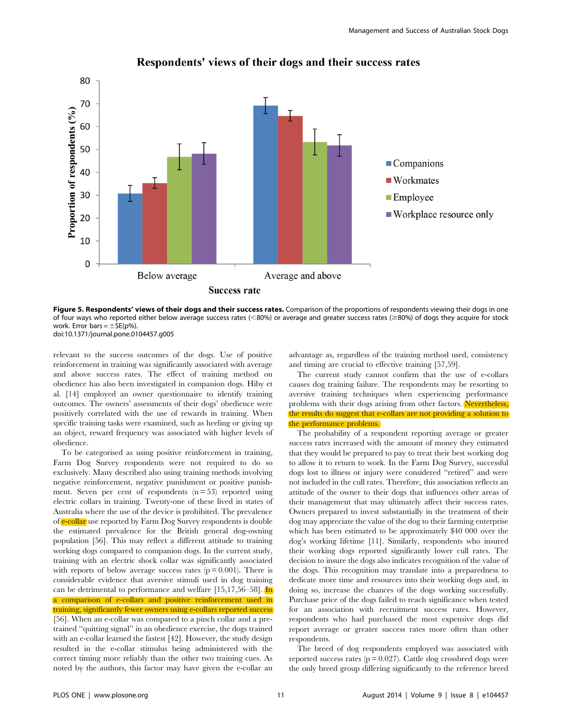

# Respondents' views of their dogs and their success rates

Figure 5. Respondents' views of their dogs and their success rates. Comparison of the proportions of respondents viewing their dogs in one of four ways who reported either below average success rates (<80%) or average and greater success rates ( $\geq$ 80%) of dogs they acquire for stock work. Error bars =  $\pm$  SE(p%).

doi:10.1371/journal.pone.0104457.g005

relevant to the success outcomes of the dogs. Use of positive reinforcement in training was significantly associated with average and above success rates. The effect of training method on obedience has also been investigated in companion dogs. Hiby et al. [14] employed an owner questionnaire to identify training outcomes. The owners' assessments of their dogs' obedience were positively correlated with the use of rewards in training. When specific training tasks were examined, such as heeling or giving up an object, reward frequency was associated with higher levels of obedience.

To be categorised as using positive reinforcement in training, Farm Dog Survey respondents were not required to do so exclusively. Many described also using training methods involving negative reinforcement, negative punishment or positive punishment. Seven per cent of respondents  $(n = 53)$  reported using electric collars in training. Twenty-one of these lived in states of Australia where the use of the device is prohibited. The prevalence of **e-collar** use reported by Farm Dog Survey respondents is double the estimated prevalence for the British general dog-owning population [56]. This may reflect a different attitude to training working dogs compared to companion dogs. In the current study, training with an electric shock collar was significantly associated with reports of below average success rates  $(p = 0.001)$ . There is considerable evidence that aversive stimuli used in dog training can be detrimental to performance and welfare  $[15,17,56-58]$ . In a comparison of e-collars and positive reinforcement used in training, significantly fewer owners using e-collars reported success [56]. When an e-collar was compared to a pinch collar and a pretrained ''quitting signal'' in an obedience exercise, the dogs trained with an e-collar learned the fastest [42]. However, the study design resulted in the e-collar stimulus being administered with the correct timing more reliably than the other two training cues. As noted by the authors, this factor may have given the e-collar an advantage as, regardless of the training method used, consistency and timing are crucial to effective training [57,59].

The current study cannot confirm that the use of e-collars causes dog training failure. The respondents may be resorting to aversive training techniques when experiencing performance problems with their dogs arising from other factors. Nevertheless, the results do suggest that e-collars are not providing a solution to the performance problems.

The probability of a respondent reporting average or greater success rates increased with the amount of money they estimated that they would be prepared to pay to treat their best working dog to allow it to return to work. In the Farm Dog Survey, successful dogs lost to illness or injury were considered ''retired'' and were not included in the cull rates. Therefore, this association reflects an attitude of the owner to their dogs that influences other areas of their management that may ultimately affect their success rates. Owners prepared to invest substantially in the treatment of their dog may appreciate the value of the dog to their farming enterprise which has been estimated to be approximately \$40 000 over the dog's working lifetime [11]. Similarly, respondents who insured their working dogs reported significantly lower cull rates. The decision to insure the dogs also indicates recognition of the value of the dogs. This recognition may translate into a preparedness to dedicate more time and resources into their working dogs and, in doing so, increase the chances of the dogs working successfully. Purchase price of the dogs failed to reach significance when tested for an association with recruitment success rates. However, respondents who had purchased the most expensive dogs did report average or greater success rates more often than other respondents.

The breed of dog respondents employed was associated with reported success rates ( $p = 0.027$ ). Cattle dog crossbred dogs were the only breed group differing significantly to the reference breed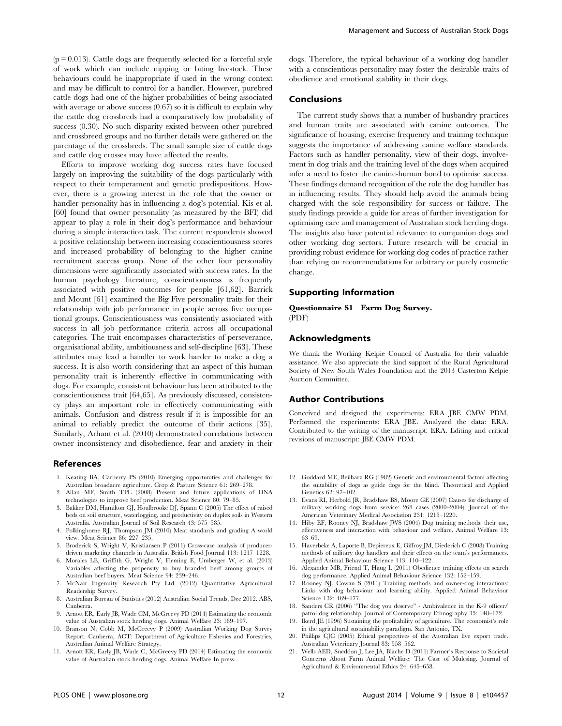$(p = 0.013)$ . Cattle dogs are frequently selected for a forceful style of work which can include nipping or biting livestock. These behaviours could be inappropriate if used in the wrong context and may be difficult to control for a handler. However, purebred cattle dogs had one of the higher probabilities of being associated with average or above success (0.67) so it is difficult to explain why the cattle dog crossbreds had a comparatively low probability of success (0.30). No such disparity existed between other purebred and crossbreed groups and no further details were gathered on the parentage of the crossbreds. The small sample size of cattle dogs and cattle dog crosses may have affected the results.

Efforts to improve working dog success rates have focused largely on improving the suitability of the dogs particularly with respect to their temperament and genetic predispositions. However, there is a growing interest in the role that the owner or handler personality has in influencing a dog's potential. Kis et al. [60] found that owner personality (as measured by the BFI) did appear to play a role in their dog's performance and behaviour during a simple interaction task. The current respondents showed a positive relationship between increasing conscientiousness scores and increased probability of belonging to the higher canine recruitment success group. None of the other four personality dimensions were significantly associated with success rates. In the human psychology literature, conscientiousness is frequently associated with positive outcomes for people [61,62]. Barrick and Mount [61] examined the Big Five personality traits for their relationship with job performance in people across five occupational groups. Conscientiousness was consistently associated with success in all job performance criteria across all occupational categories. The trait encompasses characteristics of perseverance, organisational ability, ambitiousness and self-discipline [63]. These attributes may lead a handler to work harder to make a dog a success. It is also worth considering that an aspect of this human personality trait is inherently effective in communicating with dogs. For example, consistent behaviour has been attributed to the conscientiousness trait [64,65]. As previously discussed, consistency plays an important role in effectively communicating with animals. Confusion and distress result if it is impossible for an animal to reliably predict the outcome of their actions [35]. Similarly, Arhant et al. (2010) demonstrated correlations between owner inconsistency and disobedience, fear and anxiety in their

#### References

- 1. Keating BA, Carberry PS (2010) Emerging opportunities and challenges for Australian broadacre agriculture. Crop & Pasture Science 61: 269–278.
- 2. Allan MF, Smith TPL (2008) Present and future applications of DNA technologies to improve beef production. Meat Science 80: 79–85.
- 3. Bakker DM, Hamilton GJ, Houlbrooke DJ, Spann C (2005) The effect of raised beds on soil structure, waterlogging, and productivity on duplex soils in Western Australia. Australian Journal of Soil Research 43: 575–585.
- 4. Polkinghorne RJ, Thompson JM (2010) Meat standards and grading A world view. Meat Science 86: 227–235.
- 5. Broderick S, Wright V, Kristiansen P (2011) Cross-case analysis of producerdriven marketing channels in Australia. British Food Journal 113: 1217–1228.
- 6. Morales LE, Griffith G, Wright V, Fleming E, Umberger W, et al. (2013) Variables affecting the propensity to buy branded beef among groups of Australian beef buyers. Meat Science 94: 239–246.
- 7. McNair Ingenuity Research Pty Ltd. (2012) Quantitative Agricultural Readership Survey.
- 8. Australian Bureau of Statistics (2012) Australian Social Trends, Dec 2012. ABS, Canberra.
- 9. Arnott ER, Early JB, Wade CM, McGreevy PD (2014) Estimating the economic value of Australian stock herding dogs. Animal Welfare 23: 189–197.
- 10. Branson N, Cobb M, McGreevy P (2009) Australian Working Dog Survey Report. Canberra, ACT: Department of Agriculture Fisheries and Forestries, Australian Animal Welfare Strategy.
- 11. Arnott ER, Early JB, Wade C, McGreevy PD (2014) Estimating the economic value of Australian stock herding dogs. Animal Welfare In press.

dogs. Therefore, the typical behaviour of a working dog handler with a conscientious personality may foster the desirable traits of obedience and emotional stability in their dogs.

# Conclusions

The current study shows that a number of husbandry practices and human traits are associated with canine outcomes. The significance of housing, exercise frequency and training technique suggests the importance of addressing canine welfare standards. Factors such as handler personality, view of their dogs, involvement in dog trials and the training level of the dogs when acquired infer a need to foster the canine-human bond to optimise success. These findings demand recognition of the role the dog handler has in influencing results. They should help avoid the animals being charged with the sole responsibility for success or failure. The study findings provide a guide for areas of further investigation for optimising care and management of Australian stock herding dogs. The insights also have potential relevance to companion dogs and other working dog sectors. Future research will be crucial in providing robust evidence for working dog codes of practice rather than relying on recommendations for arbitrary or purely cosmetic change.

#### Supporting Information

## Questionnaire S1 Farm Dog Survey. (PDF)

#### Acknowledgments

We thank the Working Kelpie Council of Australia for their valuable assistance. We also appreciate the kind support of the Rural Agricultural Society of New South Wales Foundation and the 2013 Casterton Kelpie Auction Committee.

# Author Contributions

Conceived and designed the experiments: ERA JBE CMW PDM. Performed the experiments: ERA JBE. Analyzed the data: ERA. Contributed to the writing of the manuscript: ERA. Editing and critical revisions of manuscript: JBE CMW PDM.

- 12. Goddard ME, Beilharz RG (1982) Genetic and environmental factors affecting the suitability of dogs as guide dogs for the blind. Theoretical and Applied Genetics 62: 97–102.
- 13. Evans RI, Herbold JR, Bradshaw BS, Moore GE (2007) Causes for discharge of military working dogs from service: 268 cases (2000–2004). Journal of the American Veterinary Medical Association 231: 1215–1220.
- 14. Hiby EF, Rooney NJ, Bradshaw JWS (2004) Dog training methods: their use, effectiveness and interaction with behaviour and welfare. Animal Welfare 13: 63–69.
- 15. Haverbeke A, Laporte B, Depiereux E, Giffroy JM, Diederich C (2008) Training methods of military dog handlers and their effects on the team's performances. Applied Animal Behaviour Science 113: 110–122.
- 16. Alexander MB, Friend T, Haug L (2011) Obedience training effects on search dog performance. Applied Animal Behaviour Science 132: 152–159.
- 17. Rooney NJ, Cowan S (2011) Training methods and owner-dog interactions: Links with dog behaviour and learning ability. Applied Animal Behaviour Science 132: 169–177.
- 18. Sanders CR (2006) ''The dog you deserve'' Ambivalence in the K-9 officer/ patrol dog relationship. Journal of Contemporary Ethnography 35: 148–172.
- 19. Ikerd JE (1996) Sustaining the profitability of agriculture. The economist's role in the agricultural sustainability paradigm. San Antonio, TX.
- 20. Phillips CJC (2005) Ethical perspectives of the Australian live export trade. Australian Veterinary Journal 83: 558–562.
- 21. Wells AED, Sneddon J, Lee JA, Blache D (2011) Farmer's Response to Societal Concerns About Farm Animal Welfare: The Case of Mulesing. Journal of Agricultural & Environmental Ethics 24: 645–658.